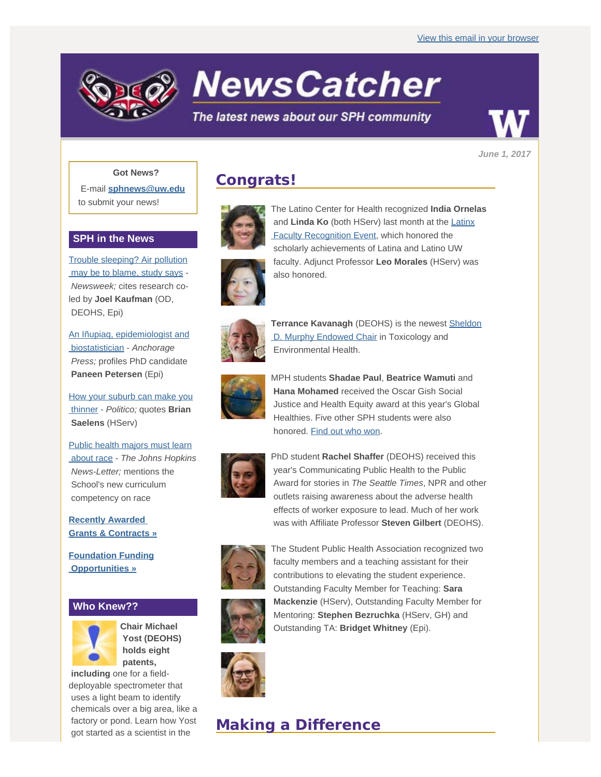

**NewsCatcher** 

## The latest news about our SPH community

*June 1, 2017*

### **Got News?**

E-mail **[sphnews@uw.edu](mailto:sphnews@uw.edu)** to submit your news!

### **SPH in the News**

[Trouble sleeping? Air pollution](http://engage.washington.edu/site/R?i=UFmPDKE2HO3SPxaD-1SuvQ)  [may be to blame, study says](http://engage.washington.edu/site/R?i=UFmPDKE2HO3SPxaD-1SuvQ) - *Newsweek;* cites research coled by **Joel Kaufman** (OD, DEOHS, Epi)

[An Iñupiaq, epidemiologist and](http://engage.washington.edu/site/R?i=mpxSc07KMbuA-QDVQ0s7qg)  [biostatistician](http://engage.washington.edu/site/R?i=mpxSc07KMbuA-QDVQ0s7qg) - *Anchorage Press;* profiles PhD candidate **Paneen Petersen** (Epi)

[How your suburb can make you](http://engage.washington.edu/site/R?i=aEokSgPibgAwn-Cc1o74xw)  [thinner](http://engage.washington.edu/site/R?i=aEokSgPibgAwn-Cc1o74xw) - *Politico;* quotes **Brian Saelens** (HServ)

[Public health majors must learn](http://engage.washington.edu/site/R?i=7R0Kg_u7kbjOlIkK33yRYg)  [about race](http://engage.washington.edu/site/R?i=7R0Kg_u7kbjOlIkK33yRYg) - *The Johns Hopkins News-Letter;* mentions the School's new curriculum competency on race

**[Recently Awarded](http://engage.washington.edu/site/R?i=9C7FXA4y_2X3qnsaIGa5Nw)  [Grants & Contracts »](http://engage.washington.edu/site/R?i=9C7FXA4y_2X3qnsaIGa5Nw)**

**[Foundation Funding](http://engage.washington.edu/site/R?i=OxbZ0uRYWOtuGNGGy2jm4w)  [Opportunities »](http://engage.washington.edu/site/R?i=OxbZ0uRYWOtuGNGGy2jm4w)**

## **Who Knew??**



**Chair Michael Yost (DEOHS) holds eight patents,**

 **including** one for a fielddeployable spectrometer that uses a light beam to identify chemicals over a big area, like a factory or pond. Learn how Yost got started as a scientist in the

## **Congrats!**



The Latino Center for Health recognized **India Ornelas** and **Linda Ko** (both HServ) last month at the [Latinx](http://engage.washington.edu/site/R?i=kyO6WB2N9_ZQJrgm_7vnpw)  [Faculty Recognition Event](http://engage.washington.edu/site/R?i=kyO6WB2N9_ZQJrgm_7vnpw), which honored the scholarly achievements of Latina and Latino UW faculty. Adjunct Professor **Leo Morales** (HServ) was also honored.



**Terrance Kavanagh** (DEOHS) is the newest [Sheldon](http://engage.washington.edu/site/R?i=No6DAH8C-rItgLOHYqlcRA)  [D. Murphy Endowed Chair](http://engage.washington.edu/site/R?i=No6DAH8C-rItgLOHYqlcRA) in Toxicology and Environmental Health.



MPH students **Shadae Paul**, **Beatrice Wamuti** and **Hana Mohamed** received the Oscar Gish Social Justice and Health Equity award at this year's Global Healthies. Five other SPH students were also honored. [Find out who won.](http://engage.washington.edu/site/R?i=6BpzesJY-A3gRYZacaEB-w)



PhD student **Rachel Shaffer** (DEOHS) received this year's Communicating Public Health to the Public Award for stories in *The Seattle Times*, NPR and other outlets raising awareness about the adverse health effects of worker exposure to lead. Much of her work was with Affiliate Professor **Steven Gilbert** (DEOHS).



The Student Public Health Association recognized two faculty members and a teaching assistant for their contributions to elevating the student experience. Outstanding Faculty Member for Teaching: **Sara Mackenzie** (HServ), Outstanding Faculty Member for Mentoring: **Stephen Bezruchka** (HServ, GH) and Outstanding TA: **Bridget Whitney** (Epi).



## **Making a Difference**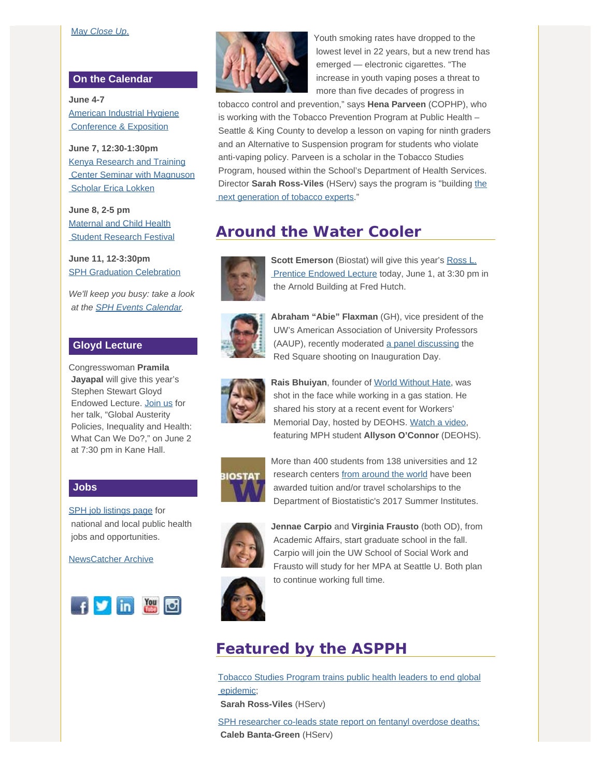#### [May](http://engage.washington.edu/site/R?i=zkTRIUQPxf-iGEkwRKqHbg) *[Close Up](http://engage.washington.edu/site/R?i=zkTRIUQPxf-iGEkwRKqHbg)*[.](http://engage.washington.edu/site/R?i=zkTRIUQPxf-iGEkwRKqHbg)

#### **On the Calendar**

**June 4-7** [American Industrial Hygiene](http://engage.washington.edu/site/R?i=F4_-fAsZMlYvImcnboOY8w)  [Conference & Exposition](http://engage.washington.edu/site/R?i=F4_-fAsZMlYvImcnboOY8w)

**June 7, 12:30-1:30pm** [Kenya Research and Training](http://engage.washington.edu/site/R?i=xr2YrIGjm_3MykWuIyXJdA)  [Center Seminar with Magnuson](http://engage.washington.edu/site/R?i=xr2YrIGjm_3MykWuIyXJdA)  [Scholar Erica Lokken](http://engage.washington.edu/site/R?i=xr2YrIGjm_3MykWuIyXJdA)

**June 8, 2-5 pm** [Maternal and Child Health](http://engage.washington.edu/site/R?i=X2DciUDkBuGkUqkssIG2cg) **Student Research Festival** 

**June 11, 12-3:30pm [SPH Graduation Celebration](http://engage.washington.edu/site/R?i=vHBVv0NDPvNRMYLWcUdKgg)** 

*We'll keep you busy: take a look at the [SPH Events Calendar](http://engage.washington.edu/site/R?i=pFheXSXB6Iu9uDGclaqZiw).*

### **Gloyd Lecture**

Congresswoman **Pramila Jayapal** will give this year's Stephen Stewart Gloyd Endowed Lecture. [Join us](http://engage.washington.edu/site/R?i=n4K6jr1tjjgDq_t3V4di8w) for her talk, "Global Austerity Policies, Inequality and Health: What Can We Do?," on June 2 at 7:30 pm in Kane Hall.

#### **Jobs**

[SPH job listings page](http://engage.washington.edu/site/R?i=bgmWiXnzKlJjM7NYSi66Jg) for national and local public health jobs and opportunities.

[NewsCatcher Archive](http://engage.washington.edu/site/R?i=8YUA76rQV2hW6P45AzRhkw)





Youth smoking rates have dropped to the lowest level in 22 years, but a new trend has emerged — electronic cigarettes. "The increase in youth vaping poses a threat to more than five decades of progress in

 tobacco control and prevention," says **Hena Parveen** (COPHP), who is working with the Tobacco Prevention Program at Public Health – Seattle & King County to develop a lesson on vaping for ninth graders and an Alternative to Suspension program for students who violate anti-vaping policy. Parveen is a scholar in the Tobacco Studies Program, housed within the School's Department of Health Services. Director **Sarah Ross-Viles** (HServ) says the program is "building [the](http://engage.washington.edu/site/R?i=SiGfcnfMhqpSiVYnqizWQw)  [next generation of tobacco experts](http://engage.washington.edu/site/R?i=SiGfcnfMhqpSiVYnqizWQw)."

# **Around the Water Cooler**



**Scott Emerson** (Biostat) will give this year's [Ross L.](http://engage.washington.edu/site/R?i=LhWX89n2hHb3yqnwKT8ceQ)  [Prentice Endowed Lecture](http://engage.washington.edu/site/R?i=LhWX89n2hHb3yqnwKT8ceQ) today, June 1, at 3:30 pm in the Arnold Building at Fred Hutch.



**Abraham "Abie" Flaxman** (GH), vice president of the UW's American Association of University Professors (AAUP), recently moderated [a panel discussing](http://engage.washington.edu/site/R?i=nzNwLgIF9lHC_bYXVhlHjA) the Red Square shooting on Inauguration Day.



**Rais Bhuiyan**, founder of [World Without Hate](http://engage.washington.edu/site/R?i=PiMLnXnearcjKAOsjCJaVw), was shot in the face while working in a gas station. He shared his story at a recent event for Workers' Memorial Day, hosted by DEOHS. [Watch a video](http://engage.washington.edu/site/R?i=jzowg-SAmU5ObM3rbWyz0A), featuring MPH student **Allyson O'Connor** (DEOHS).



More than 400 students from 138 universities and 12 research centers [from around the world](http://engage.washington.edu/site/R?i=NjfR-fUjaA0pYrJo1NavZA) have been awarded tuition and/or travel scholarships to the Department of Biostatistic's 2017 Summer Institutes.



**Jennae Carpio** and **Virginia Frausto** (both OD), from Academic Affairs, start graduate school in the fall. Carpio will join the UW School of Social Work and Frausto will study for her MPA at Seattle U. Both plan to continue working full time.



**Featured by the ASPPH**

[Tobacco Studies Program trains public health leaders to end global](http://engage.washington.edu/site/R?i=W5r1n6wpJW5x6zn6sifSRQ)  [epidemic](http://engage.washington.edu/site/R?i=W5r1n6wpJW5x6zn6sifSRQ);

**Sarah Ross-Viles** (HServ)

[SPH researcher co-leads state report on fentanyl overdose deaths;](http://engage.washington.edu/site/R?i=Q1S6VBUq1GtmrFasUE8mHQ) **Caleb Banta-Green** (HServ)